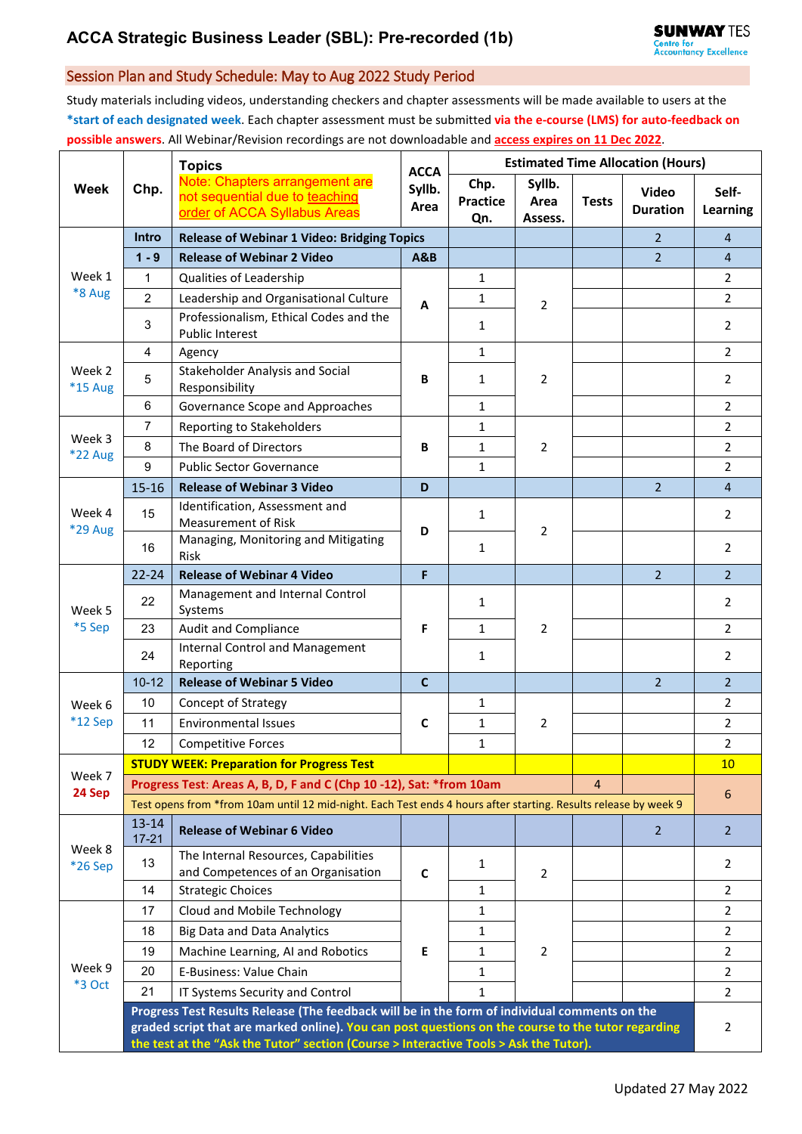## Session Plan and Study Schedule: May to Aug 2022 Study Period

Study materials including videos, understanding checkers and chapter assessments will be made available to users at the **\*start of each designated week**. Each chapter assessment must be submitted **via the e-course (LMS) for auto-feedback on possible answers**. All Webinar/Revision recordings are not downloadable and **access expires on 11 Dec 2022**.

|                   | Chp.                                                                                                                                                                                                                                                                                         | <b>Topics</b><br>Note: Chapters arrangement are<br>not sequential due to teaching<br>order of ACCA Syllabus Areas | <b>ACCA</b><br>Syllb.<br>Area | <b>Estimated Time Allocation (Hours)</b> |                           |              |                                 |                   |  |
|-------------------|----------------------------------------------------------------------------------------------------------------------------------------------------------------------------------------------------------------------------------------------------------------------------------------------|-------------------------------------------------------------------------------------------------------------------|-------------------------------|------------------------------------------|---------------------------|--------------|---------------------------------|-------------------|--|
| <b>Week</b>       |                                                                                                                                                                                                                                                                                              |                                                                                                                   |                               | Chp.<br><b>Practice</b><br>Qn.           | Syllb.<br>Area<br>Assess. | <b>Tests</b> | <b>Video</b><br><b>Duration</b> | Self-<br>Learning |  |
|                   | Intro                                                                                                                                                                                                                                                                                        | <b>Release of Webinar 1 Video: Bridging Topics</b>                                                                |                               |                                          |                           |              | $\overline{2}$                  | $\overline{4}$    |  |
| Week 1<br>*8 Aug  | $1 - 9$                                                                                                                                                                                                                                                                                      | <b>Release of Webinar 2 Video</b>                                                                                 | <b>A&amp;B</b>                |                                          |                           |              | $2^{\circ}$                     | $\overline{4}$    |  |
|                   | $\mathbf{1}$                                                                                                                                                                                                                                                                                 | Qualities of Leadership                                                                                           | A                             | $\mathbf{1}$                             | $\overline{2}$            |              |                                 | $\overline{2}$    |  |
|                   | $\overline{2}$                                                                                                                                                                                                                                                                               | Leadership and Organisational Culture                                                                             |                               | $\mathbf{1}$                             |                           |              |                                 | $\overline{a}$    |  |
|                   | 3                                                                                                                                                                                                                                                                                            | Professionalism, Ethical Codes and the<br><b>Public Interest</b>                                                  |                               | $\mathbf{1}$                             |                           |              |                                 | 2                 |  |
| Week 2<br>*15 Aug | $\overline{4}$                                                                                                                                                                                                                                                                               | Agency                                                                                                            | B                             | $\mathbf{1}$                             | 2                         |              |                                 | $\overline{2}$    |  |
|                   | 5                                                                                                                                                                                                                                                                                            | Stakeholder Analysis and Social<br>Responsibility                                                                 |                               | $\mathbf{1}$                             |                           |              |                                 | 2                 |  |
|                   | 6                                                                                                                                                                                                                                                                                            | Governance Scope and Approaches                                                                                   |                               | $\mathbf{1}$                             |                           |              |                                 | $\overline{2}$    |  |
| Week 3<br>*22 Aug | $\overline{7}$                                                                                                                                                                                                                                                                               | Reporting to Stakeholders                                                                                         | B                             | $\mathbf{1}$                             | $\overline{2}$            |              |                                 | $\overline{2}$    |  |
|                   | $\bf 8$                                                                                                                                                                                                                                                                                      | The Board of Directors                                                                                            |                               | $\mathbf{1}$                             |                           |              |                                 | $\overline{2}$    |  |
|                   | 9                                                                                                                                                                                                                                                                                            | <b>Public Sector Governance</b>                                                                                   |                               | $\mathbf{1}$                             |                           |              |                                 | $\overline{2}$    |  |
|                   | $15 - 16$                                                                                                                                                                                                                                                                                    | <b>Release of Webinar 3 Video</b>                                                                                 | D                             |                                          |                           |              | $\overline{2}$                  | $\overline{4}$    |  |
| Week 4<br>*29 Aug | 15                                                                                                                                                                                                                                                                                           | Identification, Assessment and<br><b>Measurement of Risk</b>                                                      | D                             | $\mathbf{1}$                             | $\overline{2}$            |              |                                 | $\overline{2}$    |  |
|                   | 16                                                                                                                                                                                                                                                                                           | Managing, Monitoring and Mitigating<br><b>Risk</b>                                                                |                               | $\mathbf{1}$                             |                           |              |                                 | $\overline{2}$    |  |
| Week 5<br>*5 Sep  | $22 - 24$                                                                                                                                                                                                                                                                                    | <b>Release of Webinar 4 Video</b>                                                                                 | F                             |                                          |                           |              | $\overline{2}$                  | $\overline{2}$    |  |
|                   | 22                                                                                                                                                                                                                                                                                           | Management and Internal Control<br>Systems                                                                        | F                             | $\mathbf{1}$                             | $\overline{2}$            |              |                                 | 2                 |  |
|                   | 23                                                                                                                                                                                                                                                                                           | <b>Audit and Compliance</b>                                                                                       |                               | $\mathbf{1}$                             |                           |              |                                 | $\overline{2}$    |  |
|                   | 24                                                                                                                                                                                                                                                                                           | <b>Internal Control and Management</b><br>Reporting                                                               |                               | $\mathbf{1}$                             |                           |              |                                 | $\overline{2}$    |  |
|                   | $10 - 12$                                                                                                                                                                                                                                                                                    | <b>Release of Webinar 5 Video</b>                                                                                 | $\mathbf{C}$                  |                                          |                           |              | $\overline{2}$                  | $\overline{2}$    |  |
| Week 6            | 10                                                                                                                                                                                                                                                                                           | <b>Concept of Strategy</b>                                                                                        | C                             | 1                                        | 2                         |              |                                 | 2                 |  |
| $*12$ Sep         | 11                                                                                                                                                                                                                                                                                           | <b>Environmental Issues</b>                                                                                       |                               | $\mathbf{1}$                             |                           |              |                                 | 2                 |  |
|                   | 12                                                                                                                                                                                                                                                                                           | <b>Competitive Forces</b>                                                                                         |                               | $\mathbf{1}$                             |                           |              |                                 | $\overline{2}$    |  |
| Week 7            |                                                                                                                                                                                                                                                                                              | <b>STUDY WEEK: Preparation for Progress Test</b>                                                                  |                               |                                          |                           |              |                                 | 10 <sup>°</sup>   |  |
| 24 Sep            |                                                                                                                                                                                                                                                                                              | Progress Test: Areas A, B, D, F and C (Chp 10-12), Sat: *from 10am                                                |                               |                                          |                           | 4            |                                 | 6                 |  |
|                   | Test opens from *from 10am until 12 mid-night. Each Test ends 4 hours after starting. Results release by week 9                                                                                                                                                                              |                                                                                                                   |                               |                                          |                           |              |                                 |                   |  |
| Week 8<br>*26 Sep | $13 - 14$<br>$17 - 21$                                                                                                                                                                                                                                                                       | <b>Release of Webinar 6 Video</b>                                                                                 |                               |                                          |                           |              | $\overline{2}$                  | $\overline{2}$    |  |
|                   | 13                                                                                                                                                                                                                                                                                           | The Internal Resources, Capabilities<br>and Competences of an Organisation                                        | $\mathbf c$                   | $\mathbf{1}$                             | $\overline{2}$            |              |                                 | 2                 |  |
|                   | 14                                                                                                                                                                                                                                                                                           | <b>Strategic Choices</b>                                                                                          |                               | 1                                        |                           |              |                                 | 2                 |  |
| Week 9<br>*3 Oct  | 17                                                                                                                                                                                                                                                                                           | Cloud and Mobile Technology                                                                                       | Е                             | $\mathbf{1}$                             |                           |              |                                 | 2                 |  |
|                   | 18                                                                                                                                                                                                                                                                                           | <b>Big Data and Data Analytics</b>                                                                                |                               | 1                                        | $\overline{2}$            |              |                                 | 2                 |  |
|                   | 19                                                                                                                                                                                                                                                                                           | Machine Learning, AI and Robotics                                                                                 |                               | 1                                        |                           |              |                                 | 2                 |  |
|                   | 20                                                                                                                                                                                                                                                                                           | E-Business: Value Chain                                                                                           |                               | 1                                        |                           |              |                                 | $\overline{2}$    |  |
|                   | 21                                                                                                                                                                                                                                                                                           | IT Systems Security and Control                                                                                   |                               | $\mathbf{1}$                             |                           |              |                                 | $\overline{2}$    |  |
|                   | Progress Test Results Release (The feedback will be in the form of individual comments on the<br>graded script that are marked online). You can post questions on the course to the tutor regarding<br>the test at the "Ask the Tutor" section (Course > Interactive Tools > Ask the Tutor). |                                                                                                                   |                               |                                          |                           |              |                                 |                   |  |